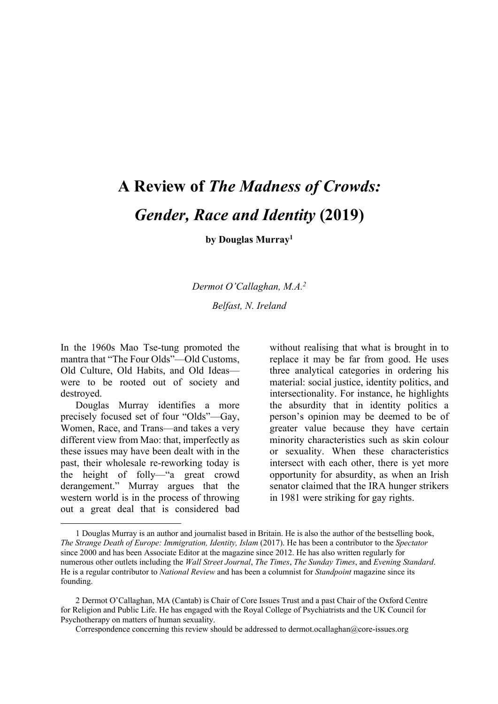# **A Review of** *The Madness of Crowds: Gender, Race and Identity* **(2019)**

**by Douglas Murray1**

*Dermot O'Callaghan, M.A.2*

*Belfast, N. Ireland*

In the 1960s Mao Tse-tung promoted the mantra that "The Four Olds"—Old Customs, Old Culture, Old Habits, and Old Ideas were to be rooted out of society and destroyed.

Douglas Murray identifies a more precisely focused set of four "Olds"—Gay, Women, Race, and Trans—and takes a very different view from Mao: that, imperfectly as these issues may have been dealt with in the past, their wholesale re-reworking today is the height of folly—"a great crowd derangement." Murray argues that the western world is in the process of throwing out a great deal that is considered bad

l

without realising that what is brought in to replace it may be far from good. He uses three analytical categories in ordering his material: social justice, identity politics, and intersectionality. For instance, he highlights the absurdity that in identity politics a person's opinion may be deemed to be of greater value because they have certain minority characteristics such as skin colour or sexuality. When these characteristics intersect with each other, there is yet more opportunity for absurdity, as when an Irish senator claimed that the IRA hunger strikers in 1981 were striking for gay rights.

<sup>1</sup> Douglas Murray is an author and journalist based in Britain. He is also the author of the bestselling book, *The Strange Death of Europe: Immigration, Identity, Islam* (2017). He has been a contributor to the *Spectator* since 2000 and has been Associate Editor at the magazine since 2012. He has also written regularly for numerous other outlets including the *Wall Street Journal*, *The Times*, *The Sunday Times*, and *Evening Standard*. He is a regular contributor to *National Review* and has been a columnist for *Standpoint* magazine since its founding.

<sup>2</sup> Dermot O'Callaghan, MA (Cantab) is Chair of Core Issues Trust and a past Chair of the Oxford Centre for Religion and Public Life. He has engaged with the Royal College of Psychiatrists and the UK Council for Psychotherapy on matters of human sexuality.

Correspondence concerning this review should be addressed to dermot.ocallaghan@core-issues.org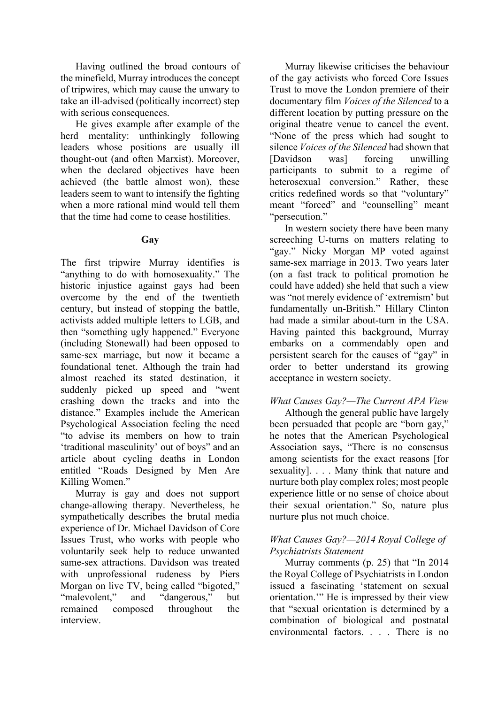Having outlined the broad contours of the minefield, Murray introduces the concept of tripwires, which may cause the unwary to take an ill-advised (politically incorrect) step with serious consequences.

He gives example after example of the herd mentality: unthinkingly following leaders whose positions are usually ill thought-out (and often Marxist). Moreover, when the declared objectives have been achieved (the battle almost won), these leaders seem to want to intensify the fighting when a more rational mind would tell them that the time had come to cease hostilities.

## **Gay**

The first tripwire Murray identifies is "anything to do with homosexuality." The historic injustice against gays had been overcome by the end of the twentieth century, but instead of stopping the battle, activists added multiple letters to LGB, and then "something ugly happened." Everyone (including Stonewall) had been opposed to same-sex marriage, but now it became a foundational tenet. Although the train had almost reached its stated destination, it suddenly picked up speed and "went crashing down the tracks and into the distance." Examples include the American Psychological Association feeling the need "to advise its members on how to train 'traditional masculinity' out of boys" and an article about cycling deaths in London entitled "Roads Designed by Men Are Killing Women."

Murray is gay and does not support change-allowing therapy. Nevertheless, he sympathetically describes the brutal media experience of Dr. Michael Davidson of Core Issues Trust, who works with people who voluntarily seek help to reduce unwanted same-sex attractions. Davidson was treated with unprofessional rudeness by Piers Morgan on live TV, being called "bigoted," "malevolent," and "dangerous," but remained composed throughout the interview.

Murray likewise criticises the behaviour of the gay activists who forced Core Issues Trust to move the London premiere of their documentary film *Voices of the Silenced* to a different location by putting pressure on the original theatre venue to cancel the event. "None of the press which had sought to silence *Voices of the Silenced* had shown that [Davidson was] forcing unwilling participants to submit to a regime of heterosexual conversion." Rather, these critics redefined words so that "voluntary" meant "forced" and "counselling" meant "persecution."

In western society there have been many screeching U-turns on matters relating to "gay." Nicky Morgan MP voted against same-sex marriage in 2013. Two years later (on a fast track to political promotion he could have added) she held that such a view was "not merely evidence of 'extremism' but fundamentally un-British." Hillary Clinton had made a similar about-turn in the USA. Having painted this background, Murray embarks on a commendably open and persistent search for the causes of "gay" in order to better understand its growing acceptance in western society.

#### *What Causes Gay?—The Current APA View*

Although the general public have largely been persuaded that people are "born gay," he notes that the American Psychological Association says, "There is no consensus among scientists for the exact reasons [for sexuality]. . . . Many think that nature and nurture both play complex roles; most people experience little or no sense of choice about their sexual orientation." So, nature plus nurture plus not much choice.

## *What Causes Gay?—2014 Royal College of Psychiatrists Statement*

Murray comments (p. 25) that "In 2014 the Royal College of Psychiatrists in London issued a fascinating 'statement on sexual orientation.'" He is impressed by their view that "sexual orientation is determined by a combination of biological and postnatal environmental factors. . . . There is no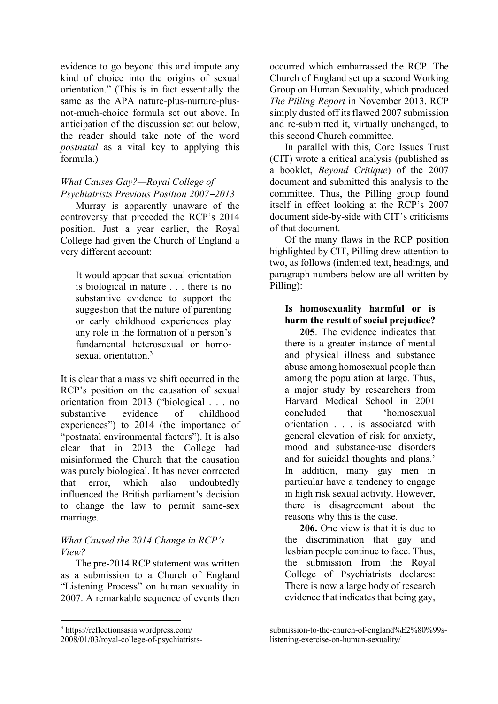evidence to go beyond this and impute any kind of choice into the origins of sexual orientation." (This is in fact essentially the same as the APA nature-plus-nurture-plusnot-much-choice formula set out above. In anticipation of the discussion set out below, the reader should take note of the word *postnatal* as a vital key to applying this formula.)

## *What Causes Gay?—Royal College of Psychiatrists Previous Position 2007*-*2013*

Murray is apparently unaware of the controversy that preceded the RCP's 2014 position. Just a year earlier, the Royal College had given the Church of England a very different account:

It would appear that sexual orientation is biological in nature . . . there is no substantive evidence to support the suggestion that the nature of parenting or early childhood experiences play any role in the formation of a person's fundamental heterosexual or homosexual orientation.3

It is clear that a massive shift occurred in the RCP's position on the causation of sexual orientation from 2013 ("biological . . . no substantive evidence of childhood experiences") to 2014 (the importance of "postnatal environmental factors"). It is also clear that in 2013 the College had misinformed the Church that the causation was purely biological. It has never corrected that error, which also undoubtedly influenced the British parliament's decision to change the law to permit same-sex marriage.

## *What Caused the 2014 Change in RCP's View?*

The pre-2014 RCP statement was written as a submission to a Church of England "Listening Process" on human sexuality in 2007. A remarkable sequence of events then

<sup>3</sup> https://reflectionsasia.wordpress.com/

 $\overline{\phantom{a}}$ 

2008/01/03/royal-college-of-psychiatrists-

occurred which embarrassed the RCP. The Church of England set up a second Working Group on Human Sexuality, which produced *The Pilling Report* in November 2013. RCP simply dusted off its flawed 2007 submission and re-submitted it, virtually unchanged, to this second Church committee.

In parallel with this, Core Issues Trust (CIT) wrote a critical analysis (published as a booklet, *Beyond Critique*) of the 2007 document and submitted this analysis to the committee. Thus, the Pilling group found itself in effect looking at the RCP's 2007 document side-by-side with CIT's criticisms of that document.

Of the many flaws in the RCP position highlighted by CIT, Pilling drew attention to two, as follows (indented text, headings, and paragraph numbers below are all written by Pilling):

## **Is homosexuality harmful or is harm the result of social prejudice?**

**205**. The evidence indicates that there is a greater instance of mental and physical illness and substance abuse among homosexual people than among the population at large. Thus, a major study by researchers from Harvard Medical School in 2001 concluded that 'homosexual orientation . . . is associated with general elevation of risk for anxiety, mood and substance-use disorders and for suicidal thoughts and plans.' In addition, many gay men in particular have a tendency to engage in high risk sexual activity. However, there is disagreement about the reasons why this is the case.

**206.** One view is that it is due to the discrimination that gay and lesbian people continue to face. Thus, the submission from the Royal College of Psychiatrists declares: There is now a large body of research evidence that indicates that being gay,

submission-to-the-church-of-england%E2%80%99slistening-exercise-on-human-sexuality/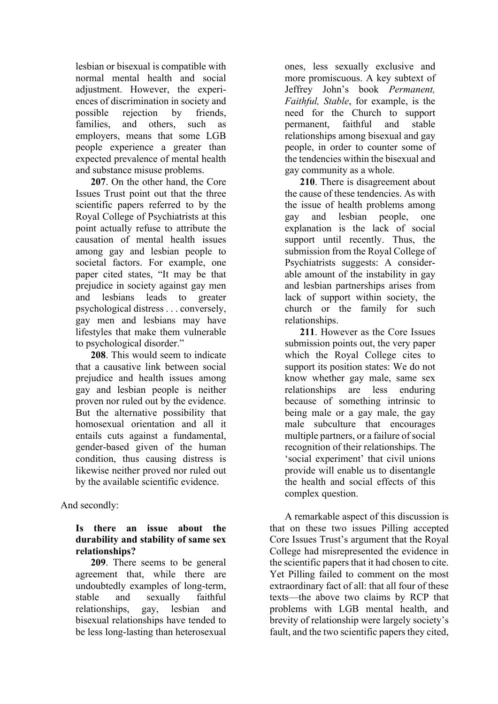lesbian or bisexual is compatible with normal mental health and social adjustment. However, the experiences of discrimination in society and possible rejection by friends, families, and others, such as employers, means that some LGB people experience a greater than expected prevalence of mental health and substance misuse problems.

**207**. On the other hand, the Core Issues Trust point out that the three scientific papers referred to by the Royal College of Psychiatrists at this point actually refuse to attribute the causation of mental health issues among gay and lesbian people to societal factors. For example, one paper cited states, "It may be that prejudice in society against gay men and lesbians leads to greater psychological distress . . . conversely, gay men and lesbians may have lifestyles that make them vulnerable to psychological disorder."

**208**. This would seem to indicate that a causative link between social prejudice and health issues among gay and lesbian people is neither proven nor ruled out by the evidence. But the alternative possibility that homosexual orientation and all it entails cuts against a fundamental, gender-based given of the human condition, thus causing distress is likewise neither proved nor ruled out by the available scientific evidence.

And secondly:

## **Is there an issue about the durability and stability of same sex relationships?**

**209**. There seems to be general agreement that, while there are undoubtedly examples of long-term, stable and sexually faithful relationships, gay, lesbian and bisexual relationships have tended to be less long-lasting than heterosexual ones, less sexually exclusive and more promiscuous. A key subtext of Jeffrey John's book *Permanent, Faithful, Stable*, for example, is the need for the Church to support permanent, faithful and stable relationships among bisexual and gay people, in order to counter some of the tendencies within the bisexual and gay community as a whole.

**210**. There is disagreement about the cause of these tendencies. As with the issue of health problems among gay and lesbian people, one explanation is the lack of social support until recently. Thus, the submission from the Royal College of Psychiatrists suggests: A considerable amount of the instability in gay and lesbian partnerships arises from lack of support within society, the church or the family for such relationships.

**211**. However as the Core Issues submission points out, the very paper which the Royal College cites to support its position states: We do not know whether gay male, same sex relationships are less enduring because of something intrinsic to being male or a gay male, the gay male subculture that encourages multiple partners, or a failure of social recognition of their relationships. The 'social experiment' that civil unions provide will enable us to disentangle the health and social effects of this complex question.

A remarkable aspect of this discussion is that on these two issues Pilling accepted Core Issues Trust's argument that the Royal College had misrepresented the evidence in the scientific papers that it had chosen to cite. Yet Pilling failed to comment on the most extraordinary fact of all: that all four of these texts—the above two claims by RCP that problems with LGB mental health, and brevity of relationship were largely society's fault, and the two scientific papers they cited,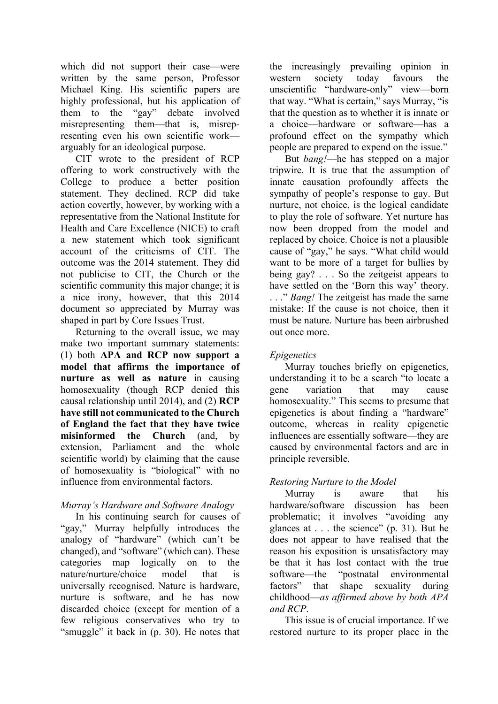which did not support their case—were written by the same person, Professor Michael King. His scientific papers are highly professional, but his application of them to the "gay" debate involved misrepresenting them—that is, misrepresenting even his own scientific work arguably for an ideological purpose.

CIT wrote to the president of RCP offering to work constructively with the College to produce a better position statement. They declined. RCP did take action covertly, however, by working with a representative from the National Institute for Health and Care Excellence (NICE) to craft a new statement which took significant account of the criticisms of CIT. The outcome was the 2014 statement. They did not publicise to CIT, the Church or the scientific community this major change; it is a nice irony, however, that this 2014 document so appreciated by Murray was shaped in part by Core Issues Trust.

Returning to the overall issue, we may make two important summary statements: (1) both **APA and RCP now support a model that affirms the importance of nurture as well as nature** in causing homosexuality (though RCP denied this causal relationship until 2014), and (2) **RCP have still not communicated to the Church of England the fact that they have twice misinformed the Church** (and, by extension, Parliament and the whole scientific world) by claiming that the cause of homosexuality is "biological" with no influence from environmental factors.

## *Murray's Hardware and Software Analogy*

In his continuing search for causes of "gay," Murray helpfully introduces the analogy of "hardware" (which can't be changed), and "software" (which can). These categories map logically on to the nature/nurture/choice model that is universally recognised. Nature is hardware, nurture is software, and he has now discarded choice (except for mention of a few religious conservatives who try to "smuggle" it back in (p. 30). He notes that

the increasingly prevailing opinion in western society today favours the unscientific "hardware-only" view—born that way. "What is certain," says Murray, "is that the question as to whether it is innate or a choice—hardware or software—has a profound effect on the sympathy which people are prepared to expend on the issue."

But *bang!*—he has stepped on a major tripwire. It is true that the assumption of innate causation profoundly affects the sympathy of people's response to gay. But nurture, not choice, is the logical candidate to play the role of software. Yet nurture has now been dropped from the model and replaced by choice. Choice is not a plausible cause of "gay," he says. "What child would want to be more of a target for bullies by being gay? . . . So the zeitgeist appears to have settled on the 'Born this way' theory. . . ." *Bang!* The zeitgeist has made the same mistake: If the cause is not choice, then it must be nature. Nurture has been airbrushed out once more.

# *Epigenetics*

Murray touches briefly on epigenetics, understanding it to be a search "to locate a gene variation that may cause homosexuality." This seems to presume that epigenetics is about finding a "hardware" outcome, whereas in reality epigenetic influences are essentially software—they are caused by environmental factors and are in principle reversible.

# *Restoring Nurture to the Model*

Murray is aware that his hardware/software discussion has been problematic; it involves "avoiding any glances at . . . the science" (p. 31). But he does not appear to have realised that the reason his exposition is unsatisfactory may be that it has lost contact with the true software—the "postnatal environmental factors" that shape sexuality during childhood—*as affirmed above by both APA and RCP*.

This issue is of crucial importance. If we restored nurture to its proper place in the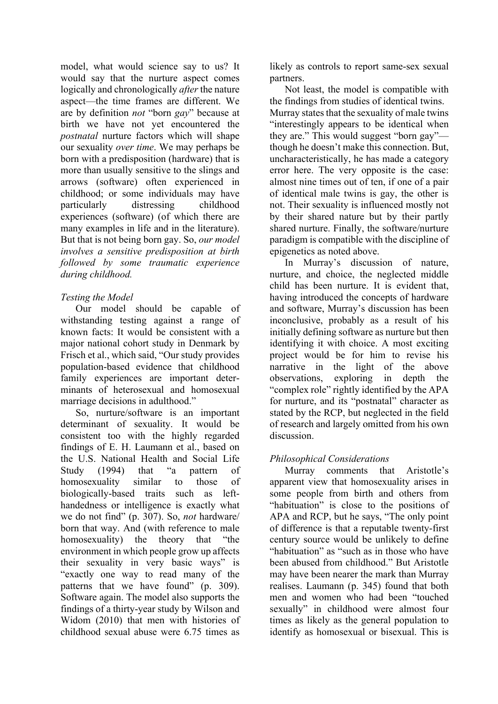model, what would science say to us? It would say that the nurture aspect comes logically and chronologically *after* the nature aspect—the time frames are different. We are by definition *not* "born *gay*" because at birth we have not yet encountered the *postnatal* nurture factors which will shape our sexuality *over time*. We may perhaps be born with a predisposition (hardware) that is more than usually sensitive to the slings and arrows (software) often experienced in childhood; or some individuals may have particularly distressing childhood experiences (software) (of which there are many examples in life and in the literature). But that is not being born gay. So, *our model involves a sensitive predisposition at birth followed by some traumatic experience during childhood.*

## *Testing the Model*

Our model should be capable of withstanding testing against a range of known facts: It would be consistent with a major national cohort study in Denmark by Frisch et al., which said, "Our study provides population-based evidence that childhood family experiences are important determinants of heterosexual and homosexual marriage decisions in adulthood."

So, nurture/software is an important determinant of sexuality. It would be consistent too with the highly regarded findings of E. H. Laumann et al., based on the U.S. National Health and Social Life Study (1994) that "a pattern of homosexuality similar to those of biologically-based traits such as lefthandedness or intelligence is exactly what we do not find" (p. 307). So, *not* hardware/ born that way. And (with reference to male homosexuality) the theory that "the environment in which people grow up affects their sexuality in very basic ways" is "exactly one way to read many of the patterns that we have found" (p. 309). Software again. The model also supports the findings of a thirty-year study by Wilson and Widom (2010) that men with histories of childhood sexual abuse were 6.75 times as

likely as controls to report same-sex sexual partners.

Not least, the model is compatible with the findings from studies of identical twins. Murray states that the sexuality of male twins "interestingly appears to be identical when they are." This would suggest "born gay" though he doesn't make this connection. But, uncharacteristically, he has made a category error here. The very opposite is the case: almost nine times out of ten, if one of a pair of identical male twins is gay, the other is not. Their sexuality is influenced mostly not by their shared nature but by their partly shared nurture. Finally, the software/nurture paradigm is compatible with the discipline of epigenetics as noted above.

In Murray's discussion of nature, nurture, and choice, the neglected middle child has been nurture. It is evident that, having introduced the concepts of hardware and software, Murray's discussion has been inconclusive, probably as a result of his initially defining software as nurture but then identifying it with choice. A most exciting project would be for him to revise his narrative in the light of the above observations, exploring in depth the "complex role" rightly identified by the APA for nurture, and its "postnatal" character as stated by the RCP, but neglected in the field of research and largely omitted from his own discussion.

# *Philosophical Considerations*

Murray comments that Aristotle's apparent view that homosexuality arises in some people from birth and others from "habituation" is close to the positions of APA and RCP, but he says, "The only point of difference is that a reputable twenty-first century source would be unlikely to define "habituation" as "such as in those who have been abused from childhood." But Aristotle may have been nearer the mark than Murray realises. Laumann (p. 345) found that both men and women who had been "touched sexually" in childhood were almost four times as likely as the general population to identify as homosexual or bisexual. This is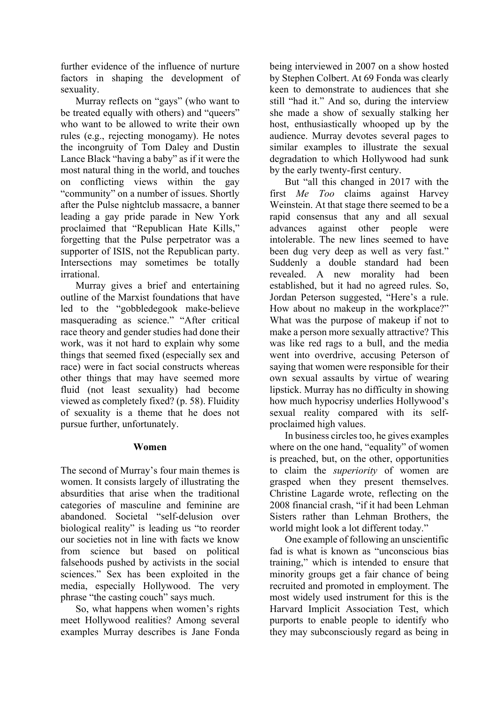further evidence of the influence of nurture factors in shaping the development of sexuality.

Murray reflects on "gays" (who want to be treated equally with others) and "queers" who want to be allowed to write their own rules (e.g., rejecting monogamy). He notes the incongruity of Tom Daley and Dustin Lance Black "having a baby" as if it were the most natural thing in the world, and touches on conflicting views within the gay "community" on a number of issues. Shortly after the Pulse nightclub massacre, a banner leading a gay pride parade in New York proclaimed that "Republican Hate Kills," forgetting that the Pulse perpetrator was a supporter of ISIS, not the Republican party. Intersections may sometimes be totally irrational.

Murray gives a brief and entertaining outline of the Marxist foundations that have led to the "gobbledegook make-believe masquerading as science." "After critical race theory and gender studies had done their work, was it not hard to explain why some things that seemed fixed (especially sex and race) were in fact social constructs whereas other things that may have seemed more fluid (not least sexuality) had become viewed as completely fixed? (p. 58). Fluidity of sexuality is a theme that he does not pursue further, unfortunately.

## **Women**

The second of Murray's four main themes is women. It consists largely of illustrating the absurdities that arise when the traditional categories of masculine and feminine are abandoned. Societal "self-delusion over biological reality" is leading us "to reorder our societies not in line with facts we know from science but based on political falsehoods pushed by activists in the social sciences." Sex has been exploited in the media, especially Hollywood. The very phrase "the casting couch" says much.

So, what happens when women's rights meet Hollywood realities? Among several examples Murray describes is Jane Fonda

being interviewed in 2007 on a show hosted by Stephen Colbert. At 69 Fonda was clearly keen to demonstrate to audiences that she still "had it." And so, during the interview she made a show of sexually stalking her host, enthusiastically whooped up by the audience. Murray devotes several pages to similar examples to illustrate the sexual degradation to which Hollywood had sunk by the early twenty-first century.

But "all this changed in 2017 with the first *Me Too* claims against Harvey Weinstein. At that stage there seemed to be a rapid consensus that any and all sexual advances against other people were intolerable. The new lines seemed to have been dug very deep as well as very fast." Suddenly a double standard had been revealed. A new morality had been established, but it had no agreed rules. So, Jordan Peterson suggested, "Here's a rule. How about no makeup in the workplace?" What was the purpose of makeup if not to make a person more sexually attractive? This was like red rags to a bull, and the media went into overdrive, accusing Peterson of saying that women were responsible for their own sexual assaults by virtue of wearing lipstick. Murray has no difficulty in showing how much hypocrisy underlies Hollywood's sexual reality compared with its selfproclaimed high values.

In business circles too, he gives examples where on the one hand, "equality" of women is preached, but, on the other, opportunities to claim the *superiority* of women are grasped when they present themselves. Christine Lagarde wrote, reflecting on the 2008 financial crash, "if it had been Lehman Sisters rather than Lehman Brothers, the world might look a lot different today."

One example of following an unscientific fad is what is known as "unconscious bias training," which is intended to ensure that minority groups get a fair chance of being recruited and promoted in employment. The most widely used instrument for this is the Harvard Implicit Association Test, which purports to enable people to identify who they may subconsciously regard as being in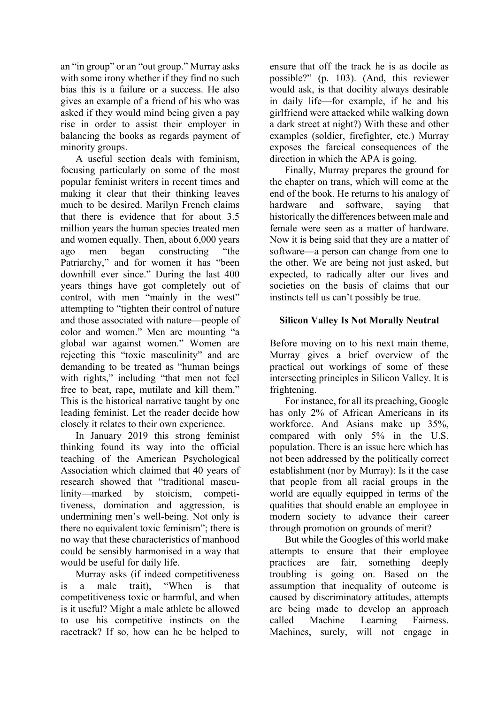an "in group" or an "out group." Murray asks with some irony whether if they find no such bias this is a failure or a success. He also gives an example of a friend of his who was asked if they would mind being given a pay rise in order to assist their employer in balancing the books as regards payment of minority groups.

A useful section deals with feminism, focusing particularly on some of the most popular feminist writers in recent times and making it clear that their thinking leaves much to be desired. Marilyn French claims that there is evidence that for about 3.5 million years the human species treated men and women equally. Then, about 6,000 years ago men began constructing "the Patriarchy," and for women it has "been downhill ever since." During the last 400 years things have got completely out of control, with men "mainly in the west" attempting to "tighten their control of nature and those associated with nature—people of color and women." Men are mounting "a global war against women." Women are rejecting this "toxic masculinity" and are demanding to be treated as "human beings with rights," including "that men not feel free to beat, rape, mutilate and kill them." This is the historical narrative taught by one leading feminist. Let the reader decide how closely it relates to their own experience.

In January 2019 this strong feminist thinking found its way into the official teaching of the American Psychological Association which claimed that 40 years of research showed that "traditional masculinity—marked by stoicism, competitiveness, domination and aggression, is undermining men's well-being. Not only is there no equivalent toxic feminism"; there is no way that these characteristics of manhood could be sensibly harmonised in a way that would be useful for daily life.

Murray asks (if indeed competitiveness is a male trait), "When is that competitiveness toxic or harmful, and when is it useful? Might a male athlete be allowed to use his competitive instincts on the racetrack? If so, how can he be helped to ensure that off the track he is as docile as possible?" (p. 103). (And, this reviewer would ask, is that docility always desirable in daily life—for example, if he and his girlfriend were attacked while walking down a dark street at night?) With these and other examples (soldier, firefighter, etc.) Murray exposes the farcical consequences of the direction in which the APA is going.

Finally, Murray prepares the ground for the chapter on trans, which will come at the end of the book. He returns to his analogy of hardware and software, saying that historically the differences between male and female were seen as a matter of hardware. Now it is being said that they are a matter of software—a person can change from one to the other. We are being not just asked, but expected, to radically alter our lives and societies on the basis of claims that our instincts tell us can't possibly be true.

## **Silicon Valley Is Not Morally Neutral**

Before moving on to his next main theme, Murray gives a brief overview of the practical out workings of some of these intersecting principles in Silicon Valley. It is frightening.

For instance, for all its preaching, Google has only 2% of African Americans in its workforce. And Asians make up 35%, compared with only 5% in the U.S. population. There is an issue here which has not been addressed by the politically correct establishment (nor by Murray): Is it the case that people from all racial groups in the world are equally equipped in terms of the qualities that should enable an employee in modern society to advance their career through promotion on grounds of merit?

But while the Googles of this world make attempts to ensure that their employee practices are fair, something deeply troubling is going on. Based on the assumption that inequality of outcome is caused by discriminatory attitudes, attempts are being made to develop an approach called Machine Learning Fairness. Machines, surely, will not engage in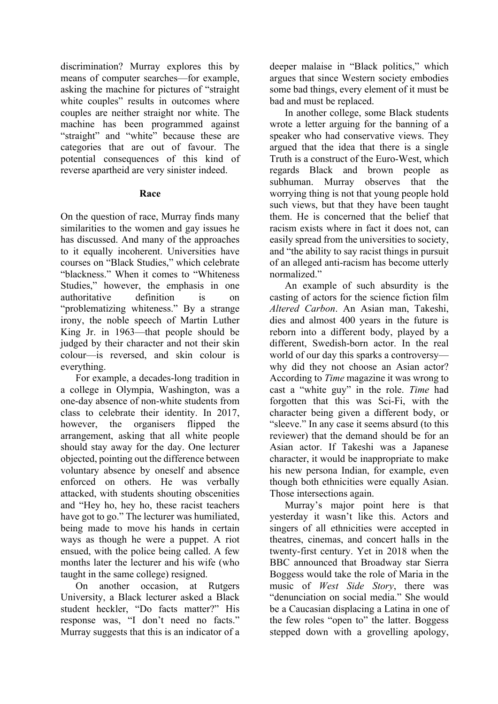discrimination? Murray explores this by means of computer searches—for example, asking the machine for pictures of "straight white couples" results in outcomes where couples are neither straight nor white. The machine has been programmed against "straight" and "white" because these are categories that are out of favour. The potential consequences of this kind of reverse apartheid are very sinister indeed.

## **Race**

On the question of race, Murray finds many similarities to the women and gay issues he has discussed. And many of the approaches to it equally incoherent. Universities have courses on "Black Studies," which celebrate "blackness." When it comes to "Whiteness Studies," however, the emphasis in one authoritative definition is on "problematizing whiteness." By a strange irony, the noble speech of Martin Luther King Jr. in 1963—that people should be judged by their character and not their skin colour—is reversed, and skin colour is everything.

For example, a decades-long tradition in a college in Olympia, Washington, was a one-day absence of non-white students from class to celebrate their identity. In 2017, however, the organisers flipped the arrangement, asking that all white people should stay away for the day. One lecturer objected, pointing out the difference between voluntary absence by oneself and absence enforced on others. He was verbally attacked, with students shouting obscenities and "Hey ho, hey ho, these racist teachers have got to go." The lecturer was humiliated, being made to move his hands in certain ways as though he were a puppet. A riot ensued, with the police being called. A few months later the lecturer and his wife (who taught in the same college) resigned.

On another occasion, at Rutgers University, a Black lecturer asked a Black student heckler, "Do facts matter?" His response was, "I don't need no facts." Murray suggests that this is an indicator of a deeper malaise in "Black politics," which argues that since Western society embodies some bad things, every element of it must be bad and must be replaced.

In another college, some Black students wrote a letter arguing for the banning of a speaker who had conservative views. They argued that the idea that there is a single Truth is a construct of the Euro-West, which regards Black and brown people as subhuman. Murray observes that the worrying thing is not that young people hold such views, but that they have been taught them. He is concerned that the belief that racism exists where in fact it does not, can easily spread from the universities to society, and "the ability to say racist things in pursuit of an alleged anti-racism has become utterly normalized."

An example of such absurdity is the casting of actors for the science fiction film *Altered Carbon*. An Asian man, Takeshi, dies and almost 400 years in the future is reborn into a different body, played by a different, Swedish-born actor. In the real world of our day this sparks a controversy why did they not choose an Asian actor? According to *Time* magazine it was wrong to cast a "white guy" in the role. *Time* had forgotten that this was Sci-Fi, with the character being given a different body, or "sleeve." In any case it seems absurd (to this reviewer) that the demand should be for an Asian actor. If Takeshi was a Japanese character, it would be inappropriate to make his new persona Indian, for example, even though both ethnicities were equally Asian. Those intersections again.

Murray's major point here is that yesterday it wasn't like this. Actors and singers of all ethnicities were accepted in theatres, cinemas, and concert halls in the twenty-first century. Yet in 2018 when the BBC announced that Broadway star Sierra Boggess would take the role of Maria in the music of *West Side Story*, there was "denunciation on social media." She would be a Caucasian displacing a Latina in one of the few roles "open to" the latter. Boggess stepped down with a grovelling apology,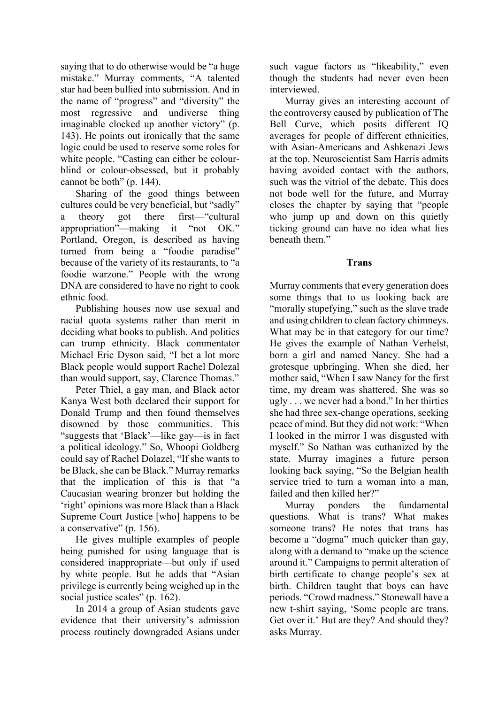saying that to do otherwise would be "a huge mistake." Murray comments, "A talented star had been bullied into submission. And in the name of "progress" and "diversity" the most regressive and undiverse thing imaginable clocked up another victory" (p. 143). He points out ironically that the same logic could be used to reserve some roles for white people. "Casting can either be colourblind or colour-obsessed, but it probably cannot be both" (p. 144).

Sharing of the good things between cultures could be very beneficial, but "sadly" a theory got there first—"cultural appropriation"—making it "not OK." Portland, Oregon, is described as having turned from being a "foodie paradise" because of the variety of its restaurants, to "a foodie warzone." People with the wrong DNA are considered to have no right to cook ethnic food.

Publishing houses now use sexual and racial quota systems rather than merit in deciding what books to publish. And politics can trump ethnicity. Black commentator Michael Eric Dyson said, "I bet a lot more Black people would support Rachel Dolezal than would support, say, Clarence Thomas."

Peter Thiel, a gay man, and Black actor Kanya West both declared their support for Donald Trump and then found themselves disowned by those communities. This "suggests that 'Black'—like gay—is in fact a political ideology." So, Whoopi Goldberg could say of Rachel Dolazel, "If she wants to be Black, she can be Black." Murray remarks that the implication of this is that "a Caucasian wearing bronzer but holding the 'right' opinions was more Black than a Black Supreme Court Justice [who] happens to be a conservative" (p. 156).

He gives multiple examples of people being punished for using language that is considered inappropriate—but only if used by white people. But he adds that "Asian privilege is currently being weighed up in the social justice scales" (p. 162).

In 2014 a group of Asian students gave evidence that their university's admission process routinely downgraded Asians under such vague factors as "likeability," even though the students had never even been interviewed.

Murray gives an interesting account of the controversy caused by publication of The Bell Curve, which posits different IQ averages for people of different ethnicities, with Asian-Americans and Ashkenazi Jews at the top. Neuroscientist Sam Harris admits having avoided contact with the authors, such was the vitriol of the debate. This does not bode well for the future, and Murray closes the chapter by saying that "people who jump up and down on this quietly ticking ground can have no idea what lies beneath them."

**Trans**

Murray comments that every generation does some things that to us looking back are "morally stupefying," such as the slave trade and using children to clean factory chimneys. What may be in that category for our time? He gives the example of Nathan Verhelst, born a girl and named Nancy. She had a grotesque upbringing. When she died, her mother said, "When I saw Nancy for the first time, my dream was shattered. She was so ugly . . . we never had a bond." In her thirties she had three sex-change operations, seeking peace of mind. But they did not work: "When I looked in the mirror I was disgusted with myself." So Nathan was euthanized by the state. Murray imagines a future person looking back saying, "So the Belgian health service tried to turn a woman into a man, failed and then killed her?"

Murray ponders the fundamental questions. What is trans? What makes someone trans? He notes that trans has become a "dogma" much quicker than gay, along with a demand to "make up the science around it." Campaigns to permit alteration of birth certificate to change people's sex at birth. Children taught that boys can have periods. "Crowd madness." Stonewall have a new t-shirt saying, 'Some people are trans. Get over it.' But are they? And should they? asks Murray.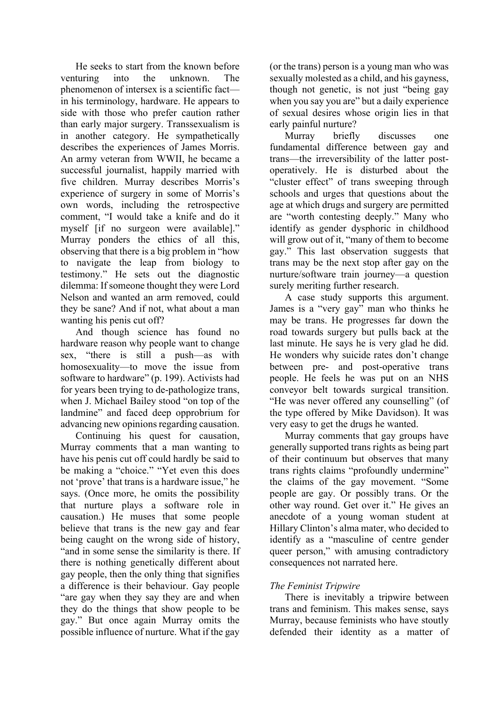He seeks to start from the known before venturing into the unknown. The phenomenon of intersex is a scientific fact in his terminology, hardware. He appears to side with those who prefer caution rather than early major surgery. Transsexualism is in another category. He sympathetically describes the experiences of James Morris. An army veteran from WWII, he became a successful journalist, happily married with five children. Murray describes Morris's experience of surgery in some of Morris's own words, including the retrospective comment, "I would take a knife and do it myself [if no surgeon were available]." Murray ponders the ethics of all this, observing that there is a big problem in "how to navigate the leap from biology to testimony." He sets out the diagnostic dilemma: If someone thought they were Lord Nelson and wanted an arm removed, could they be sane? And if not, what about a man wanting his penis cut off?

And though science has found no hardware reason why people want to change sex, "there is still a push—as with homosexuality—to move the issue from software to hardware" (p. 199). Activists had for years been trying to de-pathologize trans, when J. Michael Bailey stood "on top of the landmine" and faced deep opprobrium for advancing new opinions regarding causation.

Continuing his quest for causation, Murray comments that a man wanting to have his penis cut off could hardly be said to be making a "choice." "Yet even this does not 'prove' that trans is a hardware issue," he says. (Once more, he omits the possibility that nurture plays a software role in causation.) He muses that some people believe that trans is the new gay and fear being caught on the wrong side of history, "and in some sense the similarity is there. If there is nothing genetically different about gay people, then the only thing that signifies a difference is their behaviour. Gay people "are gay when they say they are and when they do the things that show people to be gay." But once again Murray omits the possible influence of nurture. What if the gay (or the trans) person is a young man who was sexually molested as a child, and his gayness, though not genetic, is not just "being gay when you say you are" but a daily experience of sexual desires whose origin lies in that early painful nurture?

Murray briefly discusses one fundamental difference between gay and trans—the irreversibility of the latter postoperatively. He is disturbed about the "cluster effect" of trans sweeping through schools and urges that questions about the age at which drugs and surgery are permitted are "worth contesting deeply." Many who identify as gender dysphoric in childhood will grow out of it, "many of them to become gay." This last observation suggests that trans may be the next stop after gay on the nurture/software train journey—a question surely meriting further research.

A case study supports this argument. James is a "very gay" man who thinks he may be trans. He progresses far down the road towards surgery but pulls back at the last minute. He says he is very glad he did. He wonders why suicide rates don't change between pre- and post-operative trans people. He feels he was put on an NHS conveyor belt towards surgical transition. "He was never offered any counselling" (of the type offered by Mike Davidson). It was very easy to get the drugs he wanted.

Murray comments that gay groups have generally supported trans rights as being part of their continuum but observes that many trans rights claims "profoundly undermine" the claims of the gay movement. "Some people are gay. Or possibly trans. Or the other way round. Get over it." He gives an anecdote of a young woman student at Hillary Clinton's alma mater, who decided to identify as a "masculine of centre gender queer person," with amusing contradictory consequences not narrated here.

## *The Feminist Tripwire*

There is inevitably a tripwire between trans and feminism. This makes sense, says Murray, because feminists who have stoutly defended their identity as a matter of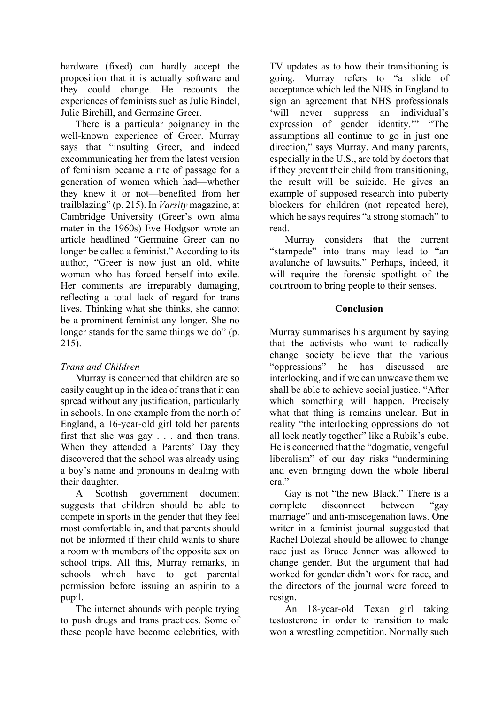hardware (fixed) can hardly accept the proposition that it is actually software and they could change. He recounts the experiences of feminists such as Julie Bindel, Julie Birchill, and Germaine Greer.

There is a particular poignancy in the well-known experience of Greer. Murray says that "insulting Greer, and indeed excommunicating her from the latest version of feminism became a rite of passage for a generation of women which had—whether they knew it or not—benefited from her trailblazing" (p. 215). In *Varsity* magazine, at Cambridge University (Greer's own alma mater in the 1960s) Eve Hodgson wrote an article headlined "Germaine Greer can no longer be called a feminist." According to its author, "Greer is now just an old, white woman who has forced herself into exile. Her comments are irreparably damaging, reflecting a total lack of regard for trans lives. Thinking what she thinks, she cannot be a prominent feminist any longer. She no longer stands for the same things we do" (p. 215).

# *Trans and Children*

Murray is concerned that children are so easily caught up in the idea of trans that it can spread without any justification, particularly in schools. In one example from the north of England, a 16-year-old girl told her parents first that she was gay . . . and then trans. When they attended a Parents' Day they discovered that the school was already using a boy's name and pronouns in dealing with their daughter.

A Scottish government document suggests that children should be able to compete in sports in the gender that they feel most comfortable in, and that parents should not be informed if their child wants to share a room with members of the opposite sex on school trips. All this, Murray remarks, in schools which have to get parental permission before issuing an aspirin to a pupil.

The internet abounds with people trying to push drugs and trans practices. Some of these people have become celebrities, with

TV updates as to how their transitioning is going. Murray refers to "a slide of acceptance which led the NHS in England to sign an agreement that NHS professionals 'will never suppress an individual's expression of gender identity.'" "The assumptions all continue to go in just one direction," says Murray. And many parents, especially in the U.S., are told by doctors that if they prevent their child from transitioning, the result will be suicide. He gives an example of supposed research into puberty blockers for children (not repeated here), which he says requires "a strong stomach" to read.

Murray considers that the current "stampede" into trans may lead to "an avalanche of lawsuits." Perhaps, indeed, it will require the forensic spotlight of the courtroom to bring people to their senses.

# **Conclusion**

Murray summarises his argument by saying that the activists who want to radically change society believe that the various "oppressions" he has discussed are interlocking, and if we can unweave them we shall be able to achieve social justice. "After which something will happen. Precisely what that thing is remains unclear. But in reality "the interlocking oppressions do not all lock neatly together" like a Rubik's cube. He is concerned that the "dogmatic, vengeful liberalism" of our day risks "undermining and even bringing down the whole liberal era."

Gay is not "the new Black." There is a complete disconnect between "gay marriage" and anti-miscegenation laws. One writer in a feminist journal suggested that Rachel Dolezal should be allowed to change race just as Bruce Jenner was allowed to change gender. But the argument that had worked for gender didn't work for race, and the directors of the journal were forced to resign.

An 18-year-old Texan girl taking testosterone in order to transition to male won a wrestling competition. Normally such